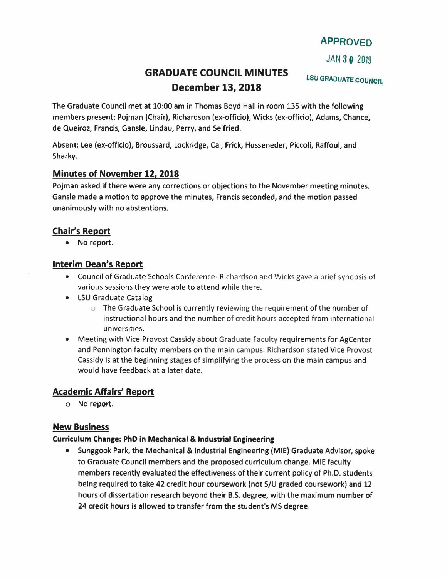# **APPROVED**

JAN *3***0** <sup>2019</sup>

# **GRADUATE COUNCIL MINUTES December 13, 2018**

LSU GRADUATE COUNCIL

The Graduate Council met at 10:00 am in Thomas Boyd Hall in room 135 with the following members present: Pojman (Chair), Richardson (ex-officio), Wicks (ex-officio), Adams, Chance, de Queiroz, Francis, Gansle, Lindau, Perry, and Seifried.

Absent: Lee (ex-officio), Broussard, Lockridge, Cai, Frick, Husseneder, Piccoli, Raffoul, and Sharky.

## **Minutes of November 12, 2018**

Pojman asked if there were any corrections or objections to the November meeting minutes. Gansle made a motion to approve the minutes, Francis seconded, and the motion passed unanimously with no abstentions.

# **Chair's Report**

• No report.

## **Interim Dean's Report**

- Council of Graduate Schools Conference- Richardson and Wicks gave a brief synopsis of various sessions they were able to attend while there.
- LSU Graduate Catalog
	- $\circ$  The Graduate School is currently reviewing the requirement of the number of instructional hours and the number of credit hours accepted from international universities.
- Meeting with Vice Provost Cassidy about Graduate Faculty requirements for AgCenter and Pennington faculty members on the main campus. Richardson stated Vice Provost Cassidy is at the beginning stages of simplifying the process on the main campus and would have feedback at a later date.

## **Academic Affairs' Report**

o No report.

## **New Business**

#### **Curriculum Change: PhD in Mechanical & Industrial Engineering**

• Sunggook Park, the Mechanical & Industrial Engineering (MIE) Graduate Advisor, spoke to Graduate Council members and the proposed curriculum change. MIE faculty members recently evaluated the effectiveness of their current policy of Ph.D. students being required to take 42 credit hour coursework (not S/U graded coursework) and 12 hours of dissertation research beyond their B.S. degree, with the maximum number of 24 credit hours is allowed to transfer from the student's MS degree.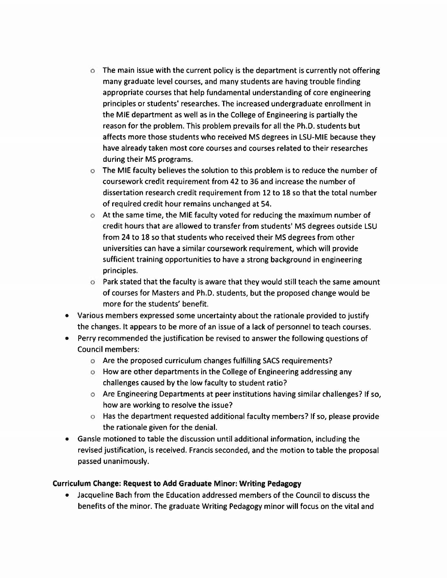- $\circ$  The main issue with the current policy is the department is currently not offering many graduate level courses, and many students are having trouble finding appropriate courses that help fundamental understanding of core engineering principles or students' researches. The increased undergraduate enrollment in the MIE department as well as in the College of Engineering is partially the reason for the problem. This problem prevails for all the Ph.D. students but affects more those students who received MS degrees in LSU-MIE because they have already taken most core courses and courses related to their researches during their MS programs.
- $\circ$  The MIE faculty believes the solution to this problem is to reduce the number of coursework credit requirement from 42 to 36 and increase the number of dissertation research credit requirement from 12 to 18 so that the total number of required credit hour remains unchanged at 54.
- $\circ$  At the same time, the MIE faculty voted for reducing the maximum number of credit hours that are allowed to transfer from students' MS degrees outside LSU from 24 to 18 so that students who received their MS degrees from other universities can have a similar coursework requirement, which will provide sufficient training opportunities to have a strong background in engineering principles.
- $\circ$  Park stated that the faculty is aware that they would still teach the same amount of courses for Masters and Ph.D. students, but the proposed change would be more for the students' benefit.
- Various members expressed some uncertainty about the rationale provided to justify the changes. It appears to be more of an issue of a lack of personnel to teach courses.
- Perry recommended the justification be revised to answer the following questions of Council members:
	- o Are the proposed curriculum changes fulfilling SACS requirements?
	- o How are other departments in the College of Engineering addressing any challenges caused by the low faculty to student ratio?
	- o Are Engineering Departments at peer institutions having similar challenges? If so, how are working to resolve the issue?
	- $\circ$  Has the department requested additional faculty members? If so, please provide the rationale given for the denial.
- Gansle motioned to table the discussion until additional information, including the revised justification, is received. Francis seconded, and the motion to table the proposal passed unanimously.

#### Curriculum Change: Request to Add Graduate Minor: Writing Pedagogy

• Jacqueline Bach from the Education addressed members of the Council to discuss the benefits of the minor. The graduate Writing Pedagogy minor will focus on the vital and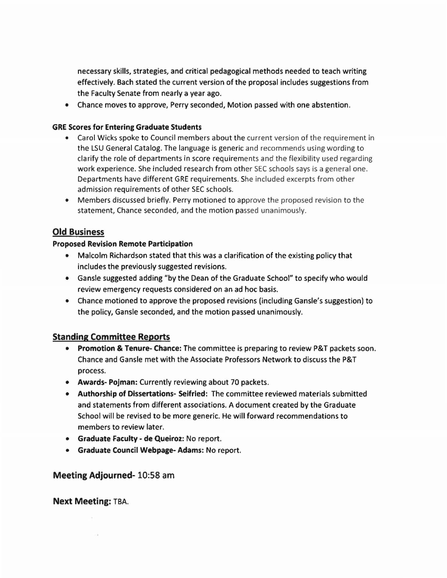necessary skills, strategies, and critical pedagogical methods needed to teach writing effectively. Bach stated the current version of the proposal includes suggestions from the Faculty Senate from nearly a year ago.

• Chance moves to approve, Perry seconded, Motion passed with one abstention.

#### GRE Scores for Entering Graduate Students

- Carol Wicks spoke to Council members about the current version of the requirement in the LSU General Catalog. The language is generic and recommends using wording to clarify the role of departments in score requirements and the flexibility used regarding work experience. She included research from other SEC schools says is a general one. Departments have different GRE requirements. She included excerpts from other admission requirements of other SEC schools.
- Members discussed briefly. Perry motioned to approve the proposed revision to the statement, Chance seconded, and the motion passed unanimously.

#### Old Business

#### Proposed Revision Remote Participation

- Malcolm Richardson stated that this was a clarification of the existing policy that includes the previously suggested revisions.
- Gansle suggested adding "by the Dean of the Graduate School" to specify who would review emergency requests considered on an ad hoc basis.
- Chance motioned to approve the proposed revisions (including Gansle's suggestion) to the policy, Gansle seconded, and the motion passed unanimously.

#### Standing Committee Reports

- Promotion & Tenure- Chance: The committee is preparing to review P&T packets soon. Chance and Gansle met with the Associate Professors Network to discuss the P& T process.
- Awards- Pojman: Currently reviewing about 70 packets.
- Authorship of Dissertations- Seifried: The committee reviewed materials submitted and statements from different associations. A document created by the Graduate School will be revised to be more generic. He will forward recommendations to members to review later.
- Graduate Faculty de Queiroz: No report.
- Graduate Council Webpage- Adams: No report.

#### Meeting Adjourned- 10:58 am

Next Meeting: TBA.